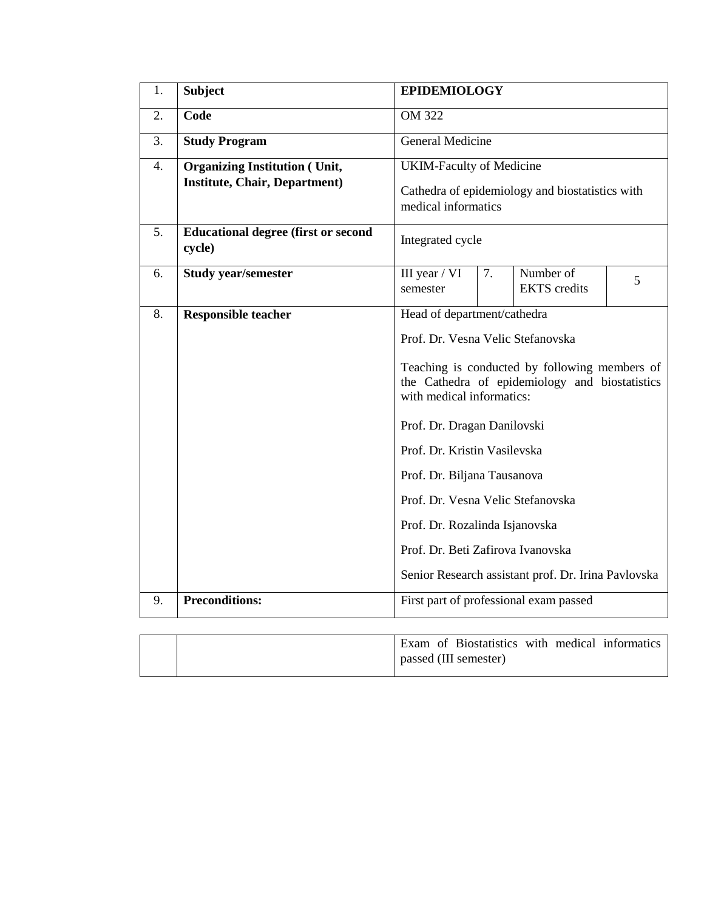| 1. | <b>Subject</b>                                                               | <b>EPIDEMIOLOGY</b>                                                                                                                                                                                                                                                                                                                                                                                                                                               |  |                                                             |  |  |  |  |
|----|------------------------------------------------------------------------------|-------------------------------------------------------------------------------------------------------------------------------------------------------------------------------------------------------------------------------------------------------------------------------------------------------------------------------------------------------------------------------------------------------------------------------------------------------------------|--|-------------------------------------------------------------|--|--|--|--|
| 2. | Code                                                                         | <b>OM 322</b>                                                                                                                                                                                                                                                                                                                                                                                                                                                     |  |                                                             |  |  |  |  |
| 3. | <b>Study Program</b>                                                         | <b>General Medicine</b>                                                                                                                                                                                                                                                                                                                                                                                                                                           |  |                                                             |  |  |  |  |
| 4. | <b>Organizing Institution (Unit,</b><br><b>Institute, Chair, Department)</b> | <b>UKIM-Faculty of Medicine</b><br>Cathedra of epidemiology and biostatistics with<br>medical informatics                                                                                                                                                                                                                                                                                                                                                         |  |                                                             |  |  |  |  |
| 5. | <b>Educational degree (first or second</b><br>cycle)                         | Integrated cycle                                                                                                                                                                                                                                                                                                                                                                                                                                                  |  |                                                             |  |  |  |  |
| 6. | <b>Study year/semester</b>                                                   | III year / VI<br>7.<br>Number of<br>5<br><b>EKTS</b> credits<br>semester                                                                                                                                                                                                                                                                                                                                                                                          |  |                                                             |  |  |  |  |
| 8. | <b>Responsible teacher</b>                                                   | Head of department/cathedra<br>Prof. Dr. Vesna Velic Stefanovska<br>Teaching is conducted by following members of<br>the Cathedra of epidemiology and biostatistics<br>with medical informatics:<br>Prof. Dr. Dragan Danilovski<br>Prof. Dr. Kristin Vasilevska<br>Prof. Dr. Biljana Tausanova<br>Prof. Dr. Vesna Velic Stefanovska<br>Prof. Dr. Rozalinda Isjanovska<br>Prof. Dr. Beti Zafirova Ivanovska<br>Senior Research assistant prof. Dr. Irina Pavlovska |  |                                                             |  |  |  |  |
| 9. | <b>Preconditions:</b>                                                        |                                                                                                                                                                                                                                                                                                                                                                                                                                                                   |  | First part of professional exam passed                      |  |  |  |  |
|    |                                                                              | $\Gamma$                                                                                                                                                                                                                                                                                                                                                                                                                                                          |  | $\mathcal{L}$ Distribution and the second set $\mathcal{L}$ |  |  |  |  |

| Exam of Biostatistics with medical informatics |
|------------------------------------------------|
| passed (III semester)                          |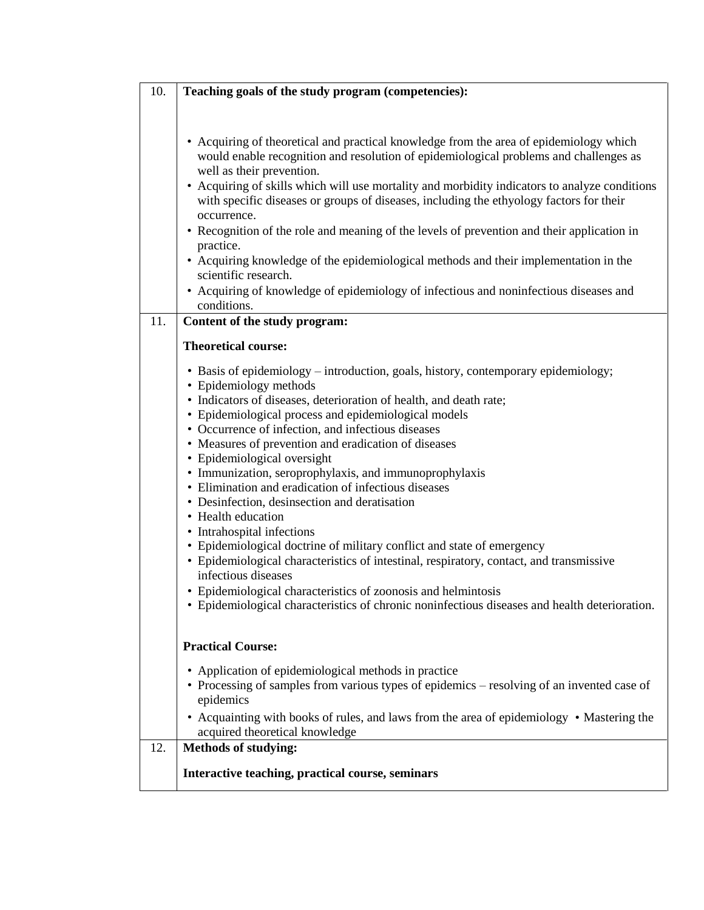| 10. | Teaching goals of the study program (competencies):                                                                                                                                                                                                                                                                                                                                                                                                                                                                                                                                                                                                                                                                                                                                                                                                                                                                                                                          |
|-----|------------------------------------------------------------------------------------------------------------------------------------------------------------------------------------------------------------------------------------------------------------------------------------------------------------------------------------------------------------------------------------------------------------------------------------------------------------------------------------------------------------------------------------------------------------------------------------------------------------------------------------------------------------------------------------------------------------------------------------------------------------------------------------------------------------------------------------------------------------------------------------------------------------------------------------------------------------------------------|
|     | • Acquiring of theoretical and practical knowledge from the area of epidemiology which<br>would enable recognition and resolution of epidemiological problems and challenges as<br>well as their prevention.<br>• Acquiring of skills which will use mortality and morbidity indicators to analyze conditions<br>with specific diseases or groups of diseases, including the ethyology factors for their<br>occurrence.<br>• Recognition of the role and meaning of the levels of prevention and their application in<br>practice.<br>• Acquiring knowledge of the epidemiological methods and their implementation in the<br>scientific research.<br>• Acquiring of knowledge of epidemiology of infectious and noninfectious diseases and<br>conditions.                                                                                                                                                                                                                   |
| 11. | Content of the study program:                                                                                                                                                                                                                                                                                                                                                                                                                                                                                                                                                                                                                                                                                                                                                                                                                                                                                                                                                |
|     | <b>Theoretical course:</b>                                                                                                                                                                                                                                                                                                                                                                                                                                                                                                                                                                                                                                                                                                                                                                                                                                                                                                                                                   |
|     | • Basis of epidemiology – introduction, goals, history, contemporary epidemiology;<br>• Epidemiology methods<br>• Indicators of diseases, deterioration of health, and death rate;<br>• Epidemiological process and epidemiological models<br>• Occurrence of infection, and infectious diseases<br>• Measures of prevention and eradication of diseases<br>• Epidemiological oversight<br>· Immunization, seroprophylaxis, and immunoprophylaxis<br>• Elimination and eradication of infectious diseases<br>• Desinfection, desinsection and deratisation<br>• Health education<br>• Intrahospital infections<br>• Epidemiological doctrine of military conflict and state of emergency<br>• Epidemiological characteristics of intestinal, respiratory, contact, and transmissive<br>infectious diseases<br>• Epidemiological characteristics of zoonosis and helmintosis<br>• Epidemiological characteristics of chronic noninfectious diseases and health deterioration. |
|     | <b>Practical Course:</b>                                                                                                                                                                                                                                                                                                                                                                                                                                                                                                                                                                                                                                                                                                                                                                                                                                                                                                                                                     |
|     | • Application of epidemiological methods in practice<br>• Processing of samples from various types of epidemics - resolving of an invented case of<br>epidemics<br>• Acquainting with books of rules, and laws from the area of epidemiology • Mastering the                                                                                                                                                                                                                                                                                                                                                                                                                                                                                                                                                                                                                                                                                                                 |
|     | acquired theoretical knowledge                                                                                                                                                                                                                                                                                                                                                                                                                                                                                                                                                                                                                                                                                                                                                                                                                                                                                                                                               |
| 12. | <b>Methods of studying:</b>                                                                                                                                                                                                                                                                                                                                                                                                                                                                                                                                                                                                                                                                                                                                                                                                                                                                                                                                                  |
|     | Interactive teaching, practical course, seminars                                                                                                                                                                                                                                                                                                                                                                                                                                                                                                                                                                                                                                                                                                                                                                                                                                                                                                                             |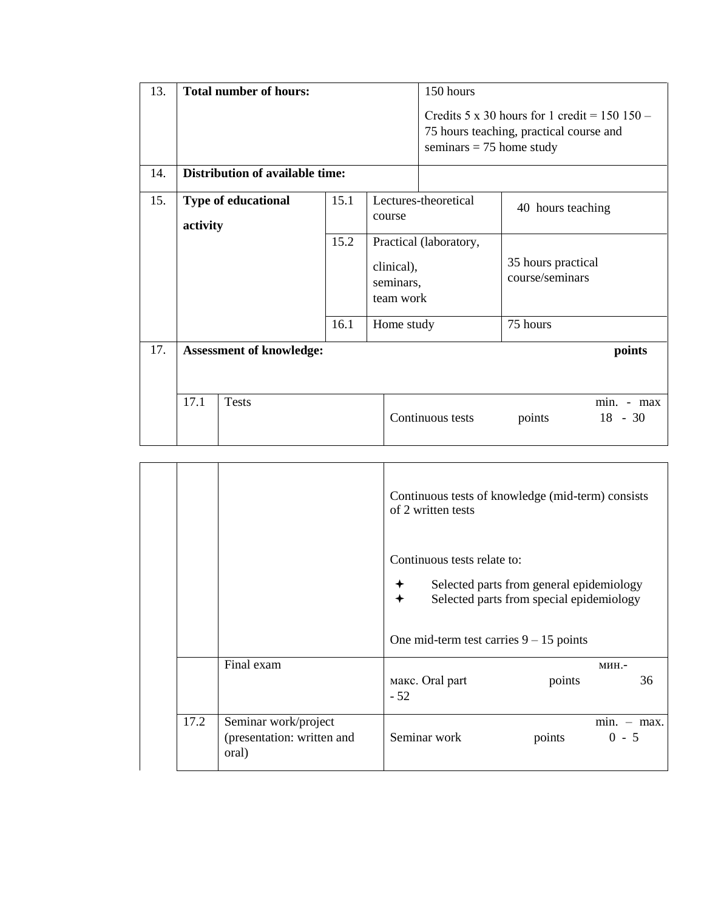| 13. |                                 | <b>Total number of hours:</b>   |      |            | 150 hours                                                                                                                        |                    |            |  |
|-----|---------------------------------|---------------------------------|------|------------|----------------------------------------------------------------------------------------------------------------------------------|--------------------|------------|--|
|     |                                 |                                 |      |            | Credits $5 \times 30$ hours for 1 credit = $150\,150$ -<br>75 hours teaching, practical course and<br>seminars $= 75$ home study |                    |            |  |
| 14. |                                 | Distribution of available time: |      |            |                                                                                                                                  |                    |            |  |
| 15. |                                 | <b>Type of educational</b>      | 15.1 |            | Lectures-theoretical                                                                                                             |                    |            |  |
|     | activity                        |                                 |      | course     |                                                                                                                                  | 40 hours teaching  |            |  |
|     |                                 |                                 |      |            |                                                                                                                                  |                    |            |  |
|     |                                 | 15.2                            |      |            | Practical (laboratory,                                                                                                           |                    |            |  |
|     |                                 |                                 |      | clinical), |                                                                                                                                  | 35 hours practical |            |  |
|     |                                 |                                 |      | seminars,  |                                                                                                                                  | course/seminars    |            |  |
|     |                                 |                                 |      | team work  |                                                                                                                                  |                    |            |  |
|     |                                 |                                 |      |            |                                                                                                                                  |                    |            |  |
|     |                                 |                                 | 16.1 | Home study |                                                                                                                                  | 75 hours           |            |  |
| 17. | <b>Assessment of knowledge:</b> |                                 |      |            |                                                                                                                                  |                    | points     |  |
|     |                                 |                                 |      |            |                                                                                                                                  |                    |            |  |
|     | 17.1                            | <b>Tests</b>                    |      |            |                                                                                                                                  |                    | min. - max |  |
|     |                                 |                                 |      |            | Continuous tests                                                                                                                 | points             | $18 - 30$  |  |
|     |                                 |                                 |      |            |                                                                                                                                  |                    |            |  |

|      |                                                             | Continuous tests of knowledge (mid-term) consists<br>of 2 written tests                                                                                          |                          |  |  |  |
|------|-------------------------------------------------------------|------------------------------------------------------------------------------------------------------------------------------------------------------------------|--------------------------|--|--|--|
|      |                                                             | Continuous tests relate to:<br>Selected parts from general epidemiology<br>Selected parts from special epidemiology<br>One mid-term test carries $9 - 15$ points |                          |  |  |  |
|      | Final exam                                                  | макс. Oral part<br>points<br>$-52$                                                                                                                               | мин.-<br>36              |  |  |  |
| 17.2 | Seminar work/project<br>(presentation: written and<br>oral) | Seminar work<br>points                                                                                                                                           | $min. - max.$<br>$0 - 5$ |  |  |  |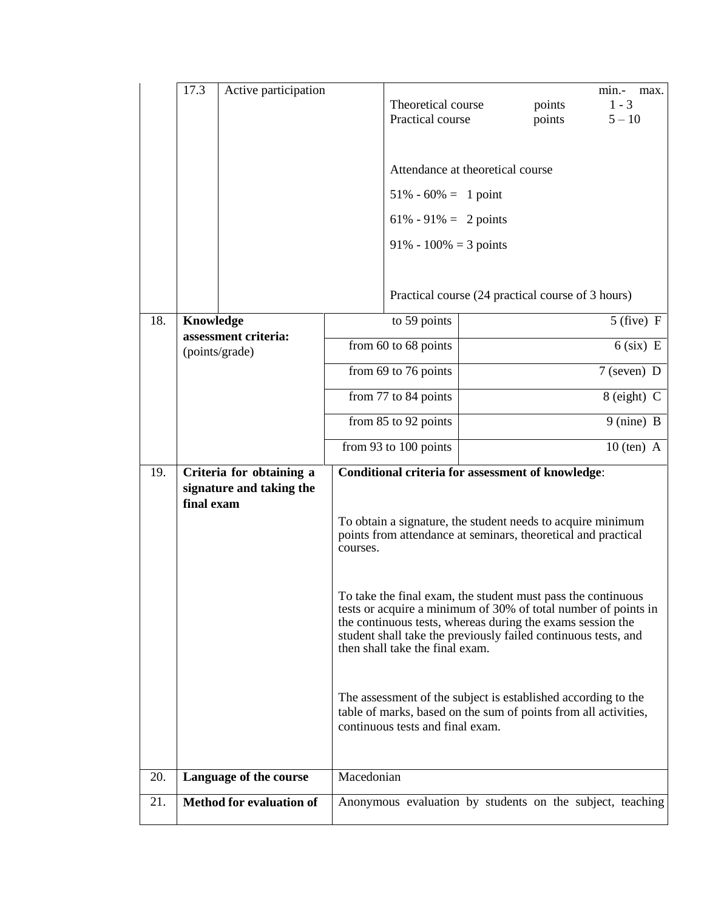|     | 17.3       | Active participation                                 |            |                                                                                                                                                                                                                                                                                                   |  |                  | min.-<br>max.                                             |
|-----|------------|------------------------------------------------------|------------|---------------------------------------------------------------------------------------------------------------------------------------------------------------------------------------------------------------------------------------------------------------------------------------------------|--|------------------|-----------------------------------------------------------|
|     |            |                                                      |            | Theoretical course<br>Practical course                                                                                                                                                                                                                                                            |  | points<br>points | $1 - 3$<br>$5 - 10$                                       |
|     |            |                                                      |            |                                                                                                                                                                                                                                                                                                   |  |                  |                                                           |
|     |            |                                                      |            | Attendance at theoretical course                                                                                                                                                                                                                                                                  |  |                  |                                                           |
|     |            |                                                      |            | $51\% - 60\% = 1$ point                                                                                                                                                                                                                                                                           |  |                  |                                                           |
|     |            |                                                      |            | $61\% - 91\% = 2$ points                                                                                                                                                                                                                                                                          |  |                  |                                                           |
|     |            |                                                      |            | $91\% - 100\% = 3$ points                                                                                                                                                                                                                                                                         |  |                  |                                                           |
|     |            |                                                      |            | Practical course (24 practical course of 3 hours)                                                                                                                                                                                                                                                 |  |                  |                                                           |
| 18. | Knowledge  |                                                      |            | to 59 points                                                                                                                                                                                                                                                                                      |  |                  | $5$ (five) F                                              |
|     |            | assessment criteria:<br>(points/grade)               |            | from 60 to 68 points                                                                                                                                                                                                                                                                              |  |                  | $6$ (six) E                                               |
|     |            |                                                      |            | from 69 to 76 points                                                                                                                                                                                                                                                                              |  |                  | $7$ (seven) D                                             |
|     |            |                                                      |            | from 77 to 84 points                                                                                                                                                                                                                                                                              |  |                  | 8 (eight) C                                               |
|     |            |                                                      |            | from 85 to 92 points                                                                                                                                                                                                                                                                              |  |                  | 9 (nine) B                                                |
|     |            |                                                      |            | from 93 to 100 points                                                                                                                                                                                                                                                                             |  |                  | $10$ (ten) A                                              |
| 19. | final exam | Criteria for obtaining a<br>signature and taking the |            | <b>Conditional criteria for assessment of knowledge:</b>                                                                                                                                                                                                                                          |  |                  |                                                           |
|     |            |                                                      | courses.   | To obtain a signature, the student needs to acquire minimum<br>points from attendance at seminars, theoretical and practical                                                                                                                                                                      |  |                  |                                                           |
|     |            |                                                      |            | To take the final exam, the student must pass the continuous<br>tests or acquire a minimum of 30% of total number of points in<br>the continuous tests, whereas during the exams session the<br>student shall take the previously failed continuous tests, and<br>then shall take the final exam. |  |                  |                                                           |
|     |            |                                                      |            | The assessment of the subject is established according to the<br>table of marks, based on the sum of points from all activities,<br>continuous tests and final exam.                                                                                                                              |  |                  |                                                           |
| 20. |            | Language of the course                               | Macedonian |                                                                                                                                                                                                                                                                                                   |  |                  |                                                           |
| 21. |            | <b>Method for evaluation of</b>                      |            |                                                                                                                                                                                                                                                                                                   |  |                  | Anonymous evaluation by students on the subject, teaching |